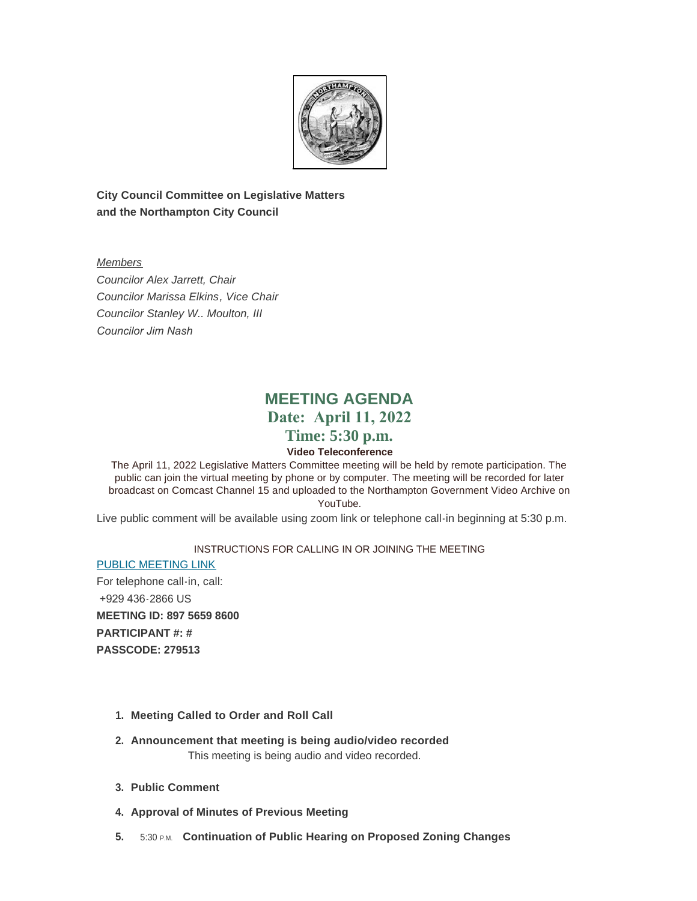

**City Council Committee on Legislative Matters and the Northampton City Council**

*Members Councilor Alex Jarrett, Chair Councilor Marissa Elkins, Vice Chair Councilor Stanley W.. Moulton, III Councilor Jim Nash* 

# **MEETING AGENDA Date: April 11, 2022 Time: 5:30 p.m.**

# **Video Teleconference**

The April 11, 2022 Legislative Matters Committee meeting will be held by remote participation. The public can join the virtual meeting by phone or by computer. The meeting will be recorded for later broadcast on Comcast Channel 15 and uploaded to the Northampton Government Video Archive on YouTube.

Live public comment will be available using zoom link or telephone call-in beginning at 5:30 p.m.

### INSTRUCTIONS FOR CALLING IN OR JOINING THE MEETING

[PUBLIC MEETING LINK](https://us06web.zoom.us/j/89756598600?pwd=LzNaODNEYzZBVTBFaUxWMEtBSGZBUT09) For telephone call-in, call: +929 436-2866 US **MEETING ID: 897 5659 8600 PARTICIPANT #: # PASSCODE: 279513**

- **Meeting Called to Order and Roll Call 1.**
- **Announcement that meeting is being audio/video recorded 2.** This meeting is being audio and video recorded.
- **Public Comment 3.**
- **4. Approval of Minutes of Previous Meeting**
- **5. 5:30 P.M. Continuation of Public Hearing on Proposed Zoning Changes**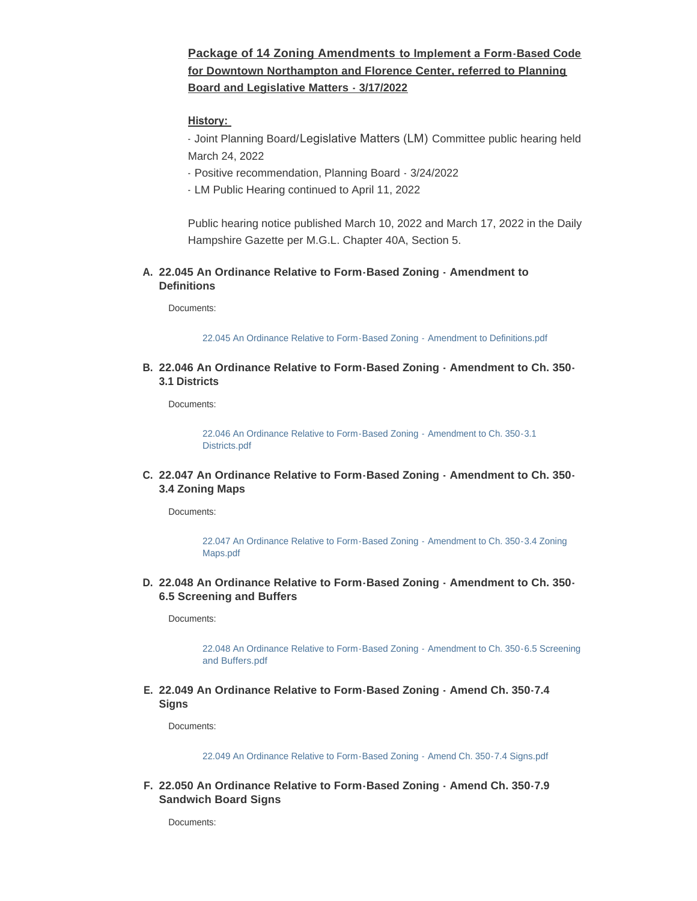# **Package of 14 Zoning Amendments to Implement a Form-Based Code for Downtown Northampton and Florence Center, referred to Planning Board and Legislative Matters - 3/17/2022**

#### **History:**

- Joint Planning Board/Legislative Matters (LM) Committee public hearing held March 24, 2022

- Positive recommendation, Planning Board 3/24/2022
- LM Public Hearing continued to April 11, 2022

Public hearing notice published March 10, 2022 and March 17, 2022 in the Daily Hampshire Gazette per M.G.L. Chapter 40A, Section 5.

#### **22.045 An Ordinance Relative to Form-Based Zoning - Amendment to A. Definitions**

Documents:

[22.045 An Ordinance Relative to Form-Based Zoning - Amendment to Definitions.pdf](https://northamptonma.gov/AgendaCenter/ViewFile/Item/18914?fileID=165321)

#### **22.046 An Ordinance Relative to Form-Based Zoning - Amendment to Ch. 350- B. 3.1 Districts**

Documents:

[22.046 An Ordinance Relative to Form-Based Zoning - Amendment to Ch. 350-3.1](https://northamptonma.gov/AgendaCenter/ViewFile/Item/18915?fileID=165322)  Districts.pdf

**22.047 An Ordinance Relative to Form-Based Zoning - Amendment to Ch. 350- C. 3.4 Zoning Maps**

Documents:

[22.047 An Ordinance Relative to Form-Based Zoning - Amendment to Ch. 350-3.4 Zoning](https://northamptonma.gov/AgendaCenter/ViewFile/Item/18916?fileID=165323)  Maps.pdf

**22.048 An Ordinance Relative to Form-Based Zoning - Amendment to Ch. 350- D. 6.5 Screening and Buffers**

Documents:

[22.048 An Ordinance Relative to Form-Based Zoning - Amendment to Ch. 350-6.5 Screening](https://northamptonma.gov/AgendaCenter/ViewFile/Item/18917?fileID=165324)  and Buffers.pdf

**22.049 An Ordinance Relative to Form-Based Zoning - Amend Ch. 350-7.4 E. Signs**

Documents:

[22.049 An Ordinance Relative to Form-Based Zoning - Amend Ch. 350-7.4 Signs.pdf](https://northamptonma.gov/AgendaCenter/ViewFile/Item/18918?fileID=165325)

**22.050 An Ordinance Relative to Form-Based Zoning - Amend Ch. 350-7.9 F. Sandwich Board Signs**

Documents: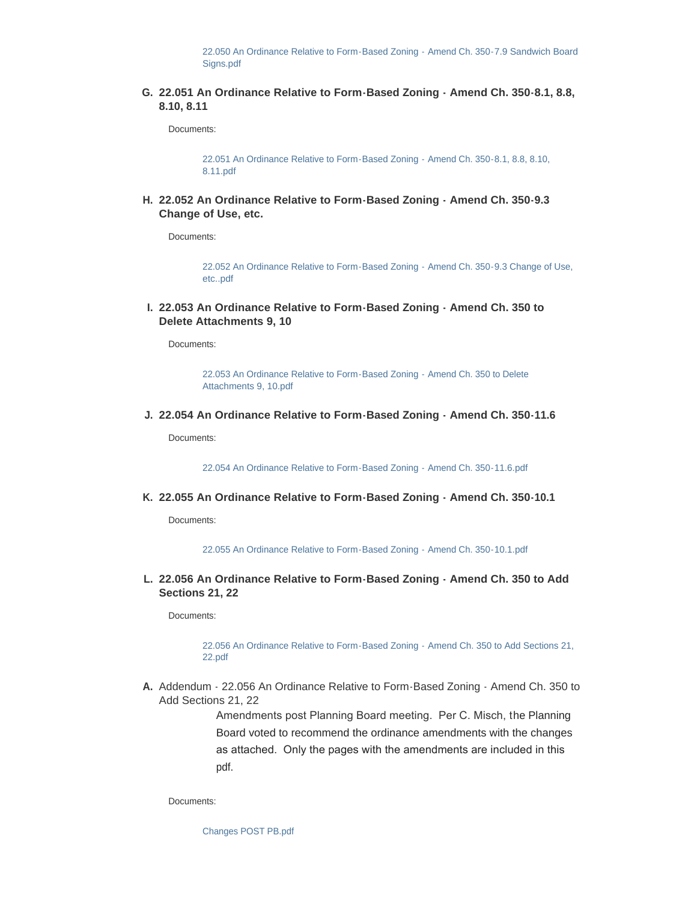[22.050 An Ordinance Relative to Form-Based Zoning - Amend Ch. 350-7.9 Sandwich Board](https://northamptonma.gov/AgendaCenter/ViewFile/Item/18919?fileID=165326)  Signs.pdf

**22.051 An Ordinance Relative to Form-Based Zoning - Amend Ch. 350-8.1, 8.8, G. 8.10, 8.11**

Documents:

[22.051 An Ordinance Relative to Form-Based Zoning - Amend Ch. 350-8.1, 8.8, 8.10,](https://northamptonma.gov/AgendaCenter/ViewFile/Item/18920?fileID=165327)  8.11.pdf

**22.052 An Ordinance Relative to Form-Based Zoning - Amend Ch. 350-9.3 H. Change of Use, etc.** 

Documents:

[22.052 An Ordinance Relative to Form-Based Zoning - Amend Ch. 350-9.3 Change of Use,](https://northamptonma.gov/AgendaCenter/ViewFile/Item/18921?fileID=165328)  etc..pdf

**22.053 An Ordinance Relative to Form-Based Zoning - Amend Ch. 350 to I. Delete Attachments 9, 10** 

Documents:

[22.053 An Ordinance Relative to Form-Based Zoning - Amend Ch. 350 to Delete](https://northamptonma.gov/AgendaCenter/ViewFile/Item/18922?fileID=165329)  Attachments 9, 10.pdf

**22.054 An Ordinance Relative to Form-Based Zoning - Amend Ch. 350-11.6 J.**

Documents:

[22.054 An Ordinance Relative to Form-Based Zoning - Amend Ch. 350-11.6.pdf](https://northamptonma.gov/AgendaCenter/ViewFile/Item/18923?fileID=165330)

**22.055 An Ordinance Relative to Form-Based Zoning - Amend Ch. 350-10.1 K.**

Documents:

[22.055 An Ordinance Relative to Form-Based Zoning - Amend Ch. 350-10.1.pdf](https://northamptonma.gov/AgendaCenter/ViewFile/Item/18924?fileID=165331)

**22.056 An Ordinance Relative to Form-Based Zoning - Amend Ch. 350 to Add L. Sections 21, 22**

Documents:

[22.056 An Ordinance Relative to Form-Based Zoning - Amend Ch. 350 to Add Sections 21,](https://northamptonma.gov/AgendaCenter/ViewFile/Item/18925?fileID=165332)  22.pdf

A. Addendum - 22.056 An Ordinance Relative to Form-Based Zoning - Amend Ch. 350 to Add Sections 21, 22

> Amendments post Planning Board meeting. Per C. Misch, the Planning Board voted to recommend the ordinance amendments with the changes as attached. Only the pages with the amendments are included in this pdf.

Documents:

[Changes POST PB.pdf](https://northamptonma.gov/AgendaCenter/ViewFile/Item/18933?fileID=165374)